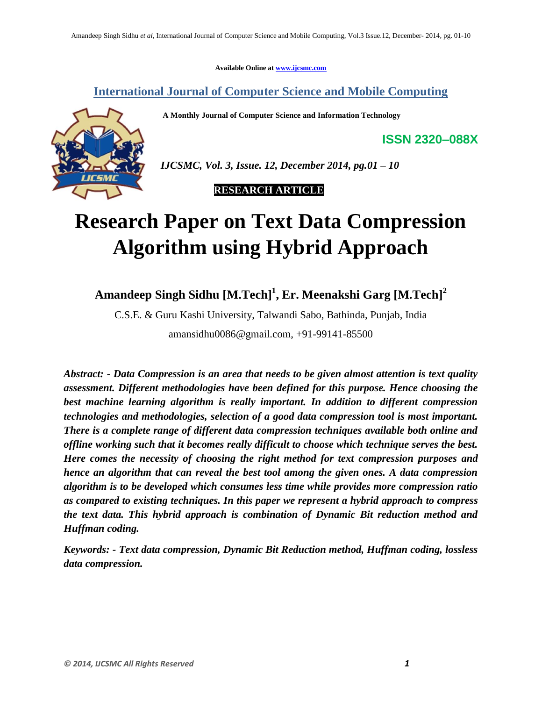**Available Online at www.ijcsmc.com**

**International Journal of Computer Science and Mobile Computing**

 **A Monthly Journal of Computer Science and Information Technology**



 *IJCSMC, Vol. 3, Issue. 12, December 2014, pg.01 – 10*

 **RESEARCH ARTICLE**

# **Research Paper on Text Data Compression Algorithm using Hybrid Approach**

**Amandeep Singh Sidhu [M.Tech]<sup>1</sup> , Er. Meenakshi Garg [M.Tech]<sup>2</sup>**

C.S.E. & Guru Kashi University, Talwandi Sabo, Bathinda, Punjab, India

amansidhu0086@gmail.com, +91-99141-85500

*Abstract: - Data Compression is an area that needs to be given almost attention is text quality assessment. Different methodologies have been defined for this purpose. Hence choosing the best machine learning algorithm is really important. In addition to different compression technologies and methodologies, selection of a good data compression tool is most important. There is a complete range of different data compression techniques available both online and offline working such that it becomes really difficult to choose which technique serves the best. Here comes the necessity of choosing the right method for text compression purposes and hence an algorithm that can reveal the best tool among the given ones. A data compression algorithm is to be developed which consumes less time while provides more compression ratio as compared to existing techniques. In this paper we represent a hybrid approach to compress the text data. This hybrid approach is combination of Dynamic Bit reduction method and Huffman coding.*

*Keywords: - Text data compression, Dynamic Bit Reduction method, Huffman coding, lossless data compression.*

**ISSN 2320–088X**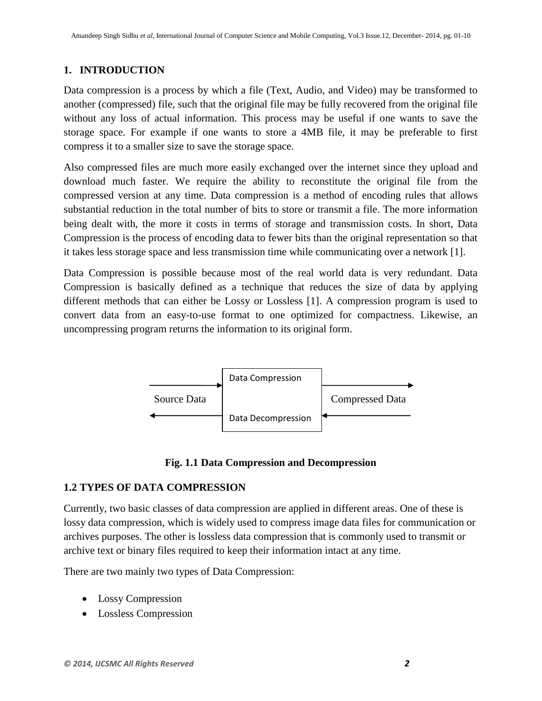## **1. INTRODUCTION**

Data compression is a process by which a file (Text, Audio, and Video) may be transformed to another (compressed) file, such that the original file may be fully recovered from the original file without any loss of actual information. This process may be useful if one wants to save the storage space. For example if one wants to store a 4MB file, it may be preferable to first compress it to a smaller size to save the storage space.

Also compressed files are much more easily exchanged over the internet since they upload and download much faster. We require the ability to reconstitute the original file from the compressed version at any time. Data compression is a method of encoding rules that allows substantial reduction in the total number of bits to store or transmit a file. The more information being dealt with, the more it costs in terms of storage and transmission costs. In short, Data Compression is the process of encoding data to fewer bits than the original representation so that it takes less storage space and less transmission time while communicating over a network [1].

Data Compression is possible because most of the real world data is very redundant. Data Compression is basically defined as a technique that reduces the size of data by applying different methods that can either be Lossy or Lossless [1]. A compression program is used to convert data from an easy-to-use format to one optimized for compactness. Likewise, an uncompressing program returns the information to its original form.



**Fig. 1.1 Data Compression and Decompression**

## **1.2 TYPES OF DATA COMPRESSION**

Currently, two basic classes of data compression are applied in different areas. One of these is lossy data compression, which is widely used to compress image data files for communication or archives purposes. The other is lossless data compression that is commonly used to transmit or archive text or binary files required to keep their information intact at any time.

There are two mainly two types of Data Compression:

- Lossy Compression
- Lossless Compression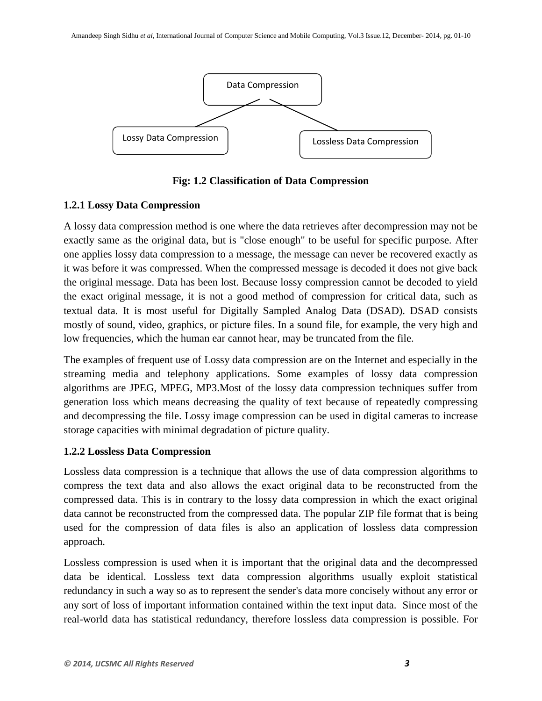

**Fig: 1.2 Classification of Data Compression**

# **1.2.1 Lossy Data Compression**

A lossy data compression method is one where the data retrieves after decompression may not be exactly same as the original data, but is "close enough" to be useful for specific purpose. After one applies lossy data compression to a message, the message can never be recovered exactly as it was before it was compressed. When the compressed message is decoded it does not give back the original message. Data has been lost. Because lossy compression cannot be decoded to yield the exact original message, it is not a good method of compression for critical data, such as textual data. It is most useful for Digitally Sampled Analog Data (DSAD). DSAD consists mostly of sound, video, graphics, or picture files. In a sound file, for example, the very high and low frequencies, which the human ear cannot hear, may be truncated from the file.

The examples of frequent use of Lossy data compression are on the Internet and especially in the streaming media and telephony applications. Some examples of lossy data compression algorithms are JPEG, MPEG, MP3.Most of the lossy data compression techniques suffer from generation loss which means decreasing the quality of text because of repeatedly compressing and decompressing the file. Lossy image compression can be used in digital cameras to increase storage capacities with minimal degradation of picture quality.

# **1.2.2 Lossless Data Compression**

Lossless data compression is a technique that allows the use of data compression algorithms to compress the text data and also allows the exact original data to be reconstructed from the compressed data. This is in contrary to the lossy data compression in which the exact original data cannot be reconstructed from the compressed data. The popular ZIP file format that is being used for the compression of data files is also an application of lossless data compression approach.

Lossless compression is used when it is important that the original data and the decompressed data be identical. Lossless text data compression algorithms usually exploit statistical redundancy in such a way so as to represent the sender's data more concisely without any error or any sort of loss of important information contained within the text input data. Since most of the real-world data has statistical redundancy, therefore lossless data compression is possible. For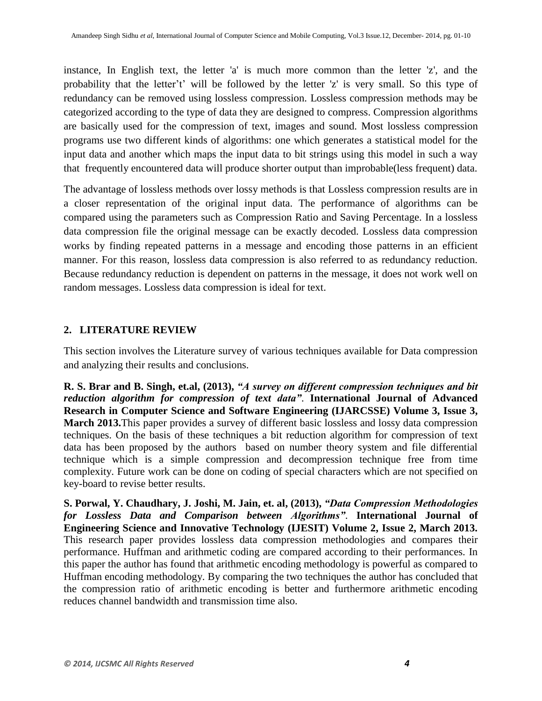instance, In English text, the letter 'a' is much more common than the letter 'z', and the probability that the letter't' will be followed by the letter 'z' is very small. So this type of redundancy can be removed using lossless compression. Lossless compression methods may be categorized according to the type of data they are designed to compress. Compression algorithms are basically used for the compression of text, images and sound. Most lossless compression programs use two different kinds of algorithms: one which generates a statistical model for the input data and another which maps the input data to bit strings using this model in such a way that frequently encountered data will produce shorter output than improbable(less frequent) data.

The advantage of lossless methods over lossy methods is that Lossless compression results are in a closer representation of the original input data. The performance of algorithms can be compared using the parameters such as Compression Ratio and Saving Percentage. In a lossless data compression file the original message can be exactly decoded. Lossless data compression works by finding repeated patterns in a message and encoding those patterns in an efficient manner. For this reason, lossless data compression is also referred to as redundancy reduction. Because redundancy reduction is dependent on patterns in the message, it does not work well on random messages. Lossless data compression is ideal for text.

## **2. LITERATURE REVIEW**

This section involves the Literature survey of various techniques available for Data compression and analyzing their results and conclusions.

**R. S. Brar and B. Singh, et.al, (2013),** *"A survey on different compression techniques and bit reduction algorithm for compression of text data"*. **International Journal of Advanced Research in Computer Science and Software Engineering (IJARCSSE) Volume 3, Issue 3, March 2013.**This paper provides a survey of different basic lossless and lossy data compression techniques. On the basis of these techniques a bit reduction algorithm for compression of text data has been proposed by the authors based on number theory system and file differential technique which is a simple compression and decompression technique free from time complexity. Future work can be done on coding of special characters which are not specified on key-board to revise better results.

**S. Porwal, Y. Chaudhary, J. Joshi, M. Jain, et. al, (2013),** *"Data Compression Methodologies for Lossless Data and Comparison between Algorithms"*. **International Journal of Engineering Science and Innovative Technology (IJESIT) Volume 2, Issue 2, March 2013.**  This research paper provides lossless data compression methodologies and compares their performance. Huffman and arithmetic coding are compared according to their performances. In this paper the author has found that arithmetic encoding methodology is powerful as compared to Huffman encoding methodology. By comparing the two techniques the author has concluded that the compression ratio of arithmetic encoding is better and furthermore arithmetic encoding reduces channel bandwidth and transmission time also.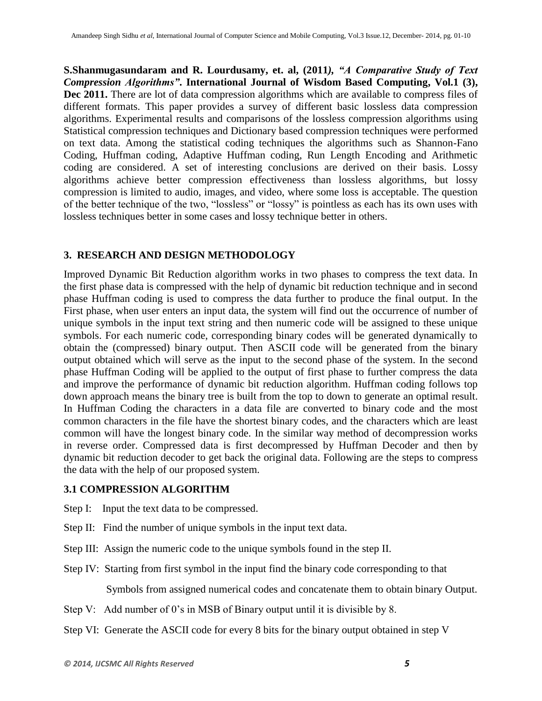**S.Shanmugasundaram and R. Lourdusamy, et. al, (2011***), "A Comparative Study of Text Compression Algorithms"***. International Journal of Wisdom Based Computing, Vol.1 (3),**  Dec 2011. There are lot of data compression algorithms which are available to compress files of different formats. This paper provides a survey of different basic lossless data compression algorithms. Experimental results and comparisons of the lossless compression algorithms using Statistical compression techniques and Dictionary based compression techniques were performed on text data. Among the statistical coding techniques the algorithms such as Shannon-Fano Coding, Huffman coding, Adaptive Huffman coding, Run Length Encoding and Arithmetic coding are considered. A set of interesting conclusions are derived on their basis. Lossy algorithms achieve better compression effectiveness than lossless algorithms, but lossy compression is limited to audio, images, and video, where some loss is acceptable. The question of the better technique of the two, "lossless" or "lossy" is pointless as each has its own uses with lossless techniques better in some cases and lossy technique better in others.

#### **3. RESEARCH AND DESIGN METHODOLOGY**

Improved Dynamic Bit Reduction algorithm works in two phases to compress the text data. In the first phase data is compressed with the help of dynamic bit reduction technique and in second phase Huffman coding is used to compress the data further to produce the final output. In the First phase, when user enters an input data, the system will find out the occurrence of number of unique symbols in the input text string and then numeric code will be assigned to these unique symbols. For each numeric code, corresponding binary codes will be generated dynamically to obtain the (compressed) binary output. Then ASCII code will be generated from the binary output obtained which will serve as the input to the second phase of the system. In the second phase Huffman Coding will be applied to the output of first phase to further compress the data and improve the performance of dynamic bit reduction algorithm. Huffman coding follows top down approach means the binary tree is built from the top to down to generate an optimal result. In Huffman Coding the characters in a data file are converted to binary code and the most common characters in the file have the shortest binary codes, and the characters which are least common will have the longest binary code. In the similar way method of decompression works in reverse order. Compressed data is first decompressed by Huffman Decoder and then by dynamic bit reduction decoder to get back the original data. Following are the steps to compress the data with the help of our proposed system.

#### **3.1 COMPRESSION ALGORITHM**

- Step I: Input the text data to be compressed.
- Step II: Find the number of unique symbols in the input text data.
- Step III: Assign the numeric code to the unique symbols found in the step II.
- Step IV: Starting from first symbol in the input find the binary code corresponding to that

Symbols from assigned numerical codes and concatenate them to obtain binary Output.

- Step V: Add number of 0's in MSB of Binary output until it is divisible by 8.
- Step VI: Generate the ASCII code for every 8 bits for the binary output obtained in step V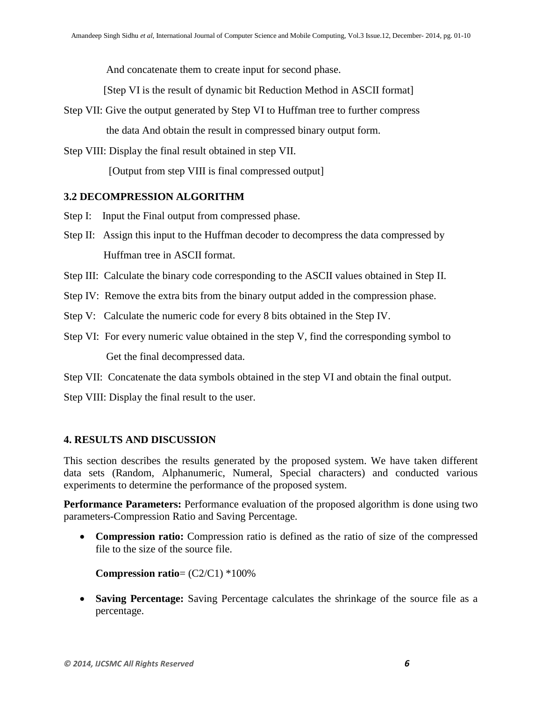And concatenate them to create input for second phase.

[Step VI is the result of dynamic bit Reduction Method in ASCII format]

- Step VII: Give the output generated by Step VI to Huffman tree to further compress the data And obtain the result in compressed binary output form.
- Step VIII: Display the final result obtained in step VII.

[Output from step VIII is final compressed output]

#### **3.2 DECOMPRESSION ALGORITHM**

- Step I: Input the Final output from compressed phase.
- Step II: Assign this input to the Huffman decoder to decompress the data compressed by Huffman tree in ASCII format.
- Step III: Calculate the binary code corresponding to the ASCII values obtained in Step II.
- Step IV: Remove the extra bits from the binary output added in the compression phase.
- Step V: Calculate the numeric code for every 8 bits obtained in the Step IV.
- Step VI: For every numeric value obtained in the step V, find the corresponding symbol to Get the final decompressed data.

Step VII: Concatenate the data symbols obtained in the step VI and obtain the final output.

Step VIII: Display the final result to the user.

## **4. RESULTS AND DISCUSSION**

This section describes the results generated by the proposed system. We have taken different data sets (Random, Alphanumeric, Numeral, Special characters) and conducted various experiments to determine the performance of the proposed system.

**Performance Parameters:** Performance evaluation of the proposed algorithm is done using two parameters-Compression Ratio and Saving Percentage.

 **Compression ratio:** Compression ratio is defined as the ratio of size of the compressed file to the size of the source file.

**Compression ratio**= (C2/C1) \*100%

 **Saving Percentage:** Saving Percentage calculates the shrinkage of the source file as a percentage.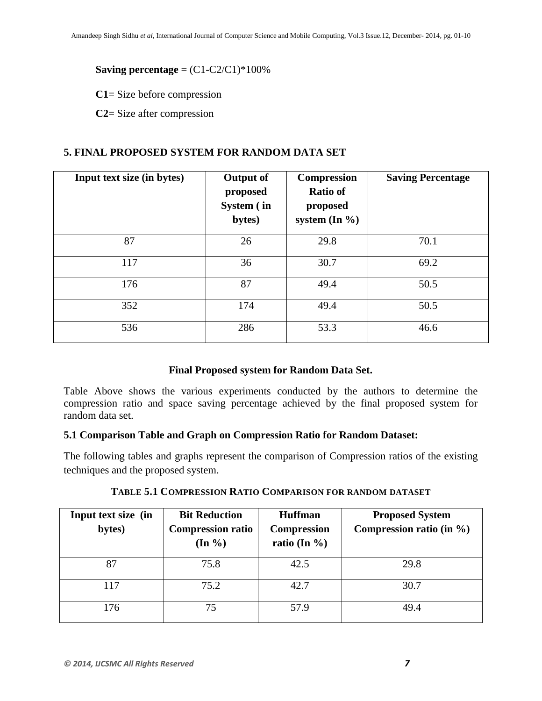#### **Saving percentage** =  $(C1-C2/C1)*100\%$

**C1**= Size before compression

**C2**= Size after compression

#### **5. FINAL PROPOSED SYSTEM FOR RANDOM DATA SET**

| Input text size (in bytes) | <b>Output of</b><br>proposed<br>System (in<br>bytes) | <b>Compression</b><br><b>Ratio of</b><br>proposed<br>system $(In \mathcal{%})$ | <b>Saving Percentage</b> |
|----------------------------|------------------------------------------------------|--------------------------------------------------------------------------------|--------------------------|
| 87                         | 26                                                   | 29.8                                                                           | 70.1                     |
| 117                        | 36                                                   | 30.7                                                                           | 69.2                     |
| 176                        | 87                                                   | 49.4                                                                           | 50.5                     |
| 352                        | 174                                                  | 49.4                                                                           | 50.5                     |
| 536                        | 286                                                  | 53.3                                                                           | 46.6                     |

#### **Final Proposed system for Random Data Set.**

Table Above shows the various experiments conducted by the authors to determine the compression ratio and space saving percentage achieved by the final proposed system for random data set.

#### **5.1 Comparison Table and Graph on Compression Ratio for Random Dataset:**

The following tables and graphs represent the comparison of Compression ratios of the existing techniques and the proposed system.

| Input text size (in<br>bytes) | <b>Bit Reduction</b><br><b>Compression ratio</b><br>$(\text{In } \% )$ | <b>Huffman</b><br><b>Compression</b><br>ratio (In $\%$ ) | <b>Proposed System</b><br>Compression ratio (in $\%$ ) |
|-------------------------------|------------------------------------------------------------------------|----------------------------------------------------------|--------------------------------------------------------|
| 87                            | 75.8                                                                   | 42.5                                                     | 29.8                                                   |
| 117                           | 75.2                                                                   | 42.7                                                     | 30.7                                                   |
| 176                           | 75                                                                     | 57.9                                                     | 49.4                                                   |

**TABLE 5.1 COMPRESSION RATIO COMPARISON FOR RANDOM DATASET**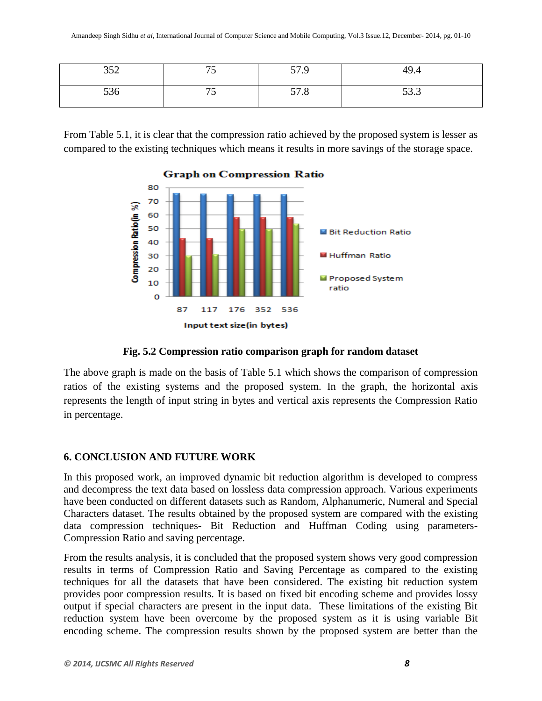| 250           | $\overline{a}$ | 57 Q                    | $\sim$         |
|---------------|----------------|-------------------------|----------------|
| $\cup$        | ر ،            | J1.7                    | 49.4           |
| $\sim$<br>JJU | - -<br>ر ،     | --<br>- 0<br>$J/\Omega$ | $\sim$<br>JJ.J |

From Table 5.1, it is clear that the compression ratio achieved by the proposed system is lesser as compared to the existing techniques which means it results in more savings of the storage space.



#### **Graph on Compression Ratio**

**Fig. 5.2 Compression ratio comparison graph for random dataset**

The above graph is made on the basis of Table 5.1 which shows the comparison of compression ratios of the existing systems and the proposed system. In the graph, the horizontal axis represents the length of input string in bytes and vertical axis represents the Compression Ratio in percentage.

## **6. CONCLUSION AND FUTURE WORK**

In this proposed work, an improved dynamic bit reduction algorithm is developed to compress and decompress the text data based on lossless data compression approach. Various experiments have been conducted on different datasets such as Random, Alphanumeric, Numeral and Special Characters dataset. The results obtained by the proposed system are compared with the existing data compression techniques- Bit Reduction and Huffman Coding using parameters-Compression Ratio and saving percentage.

From the results analysis, it is concluded that the proposed system shows very good compression results in terms of Compression Ratio and Saving Percentage as compared to the existing techniques for all the datasets that have been considered. The existing bit reduction system provides poor compression results. It is based on fixed bit encoding scheme and provides lossy output if special characters are present in the input data. These limitations of the existing Bit reduction system have been overcome by the proposed system as it is using variable Bit encoding scheme. The compression results shown by the proposed system are better than the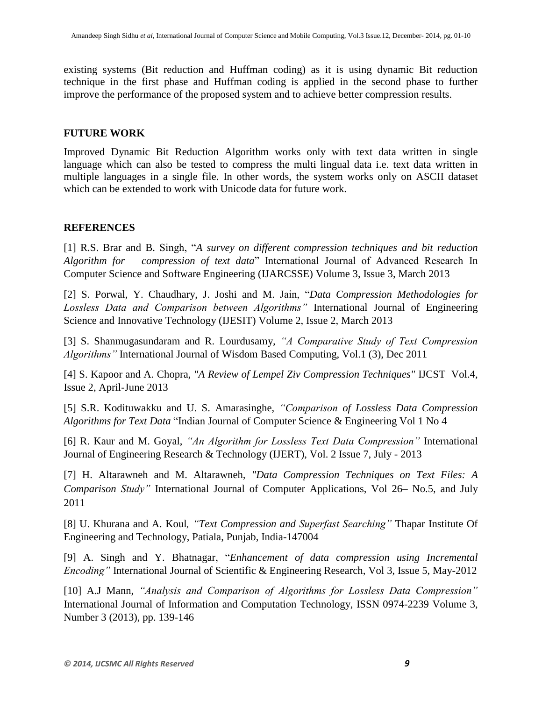existing systems (Bit reduction and Huffman coding) as it is using dynamic Bit reduction technique in the first phase and Huffman coding is applied in the second phase to further improve the performance of the proposed system and to achieve better compression results.

### **FUTURE WORK**

Improved Dynamic Bit Reduction Algorithm works only with text data written in single language which can also be tested to compress the multi lingual data i.e. text data written in multiple languages in a single file. In other words, the system works only on ASCII dataset which can be extended to work with Unicode data for future work.

#### **REFERENCES**

[1] R.S. Brar and B. Singh, "*A survey on different compression techniques and bit reduction Algorithm for compression of text data*" International Journal of Advanced Research In Computer Science and Software Engineering (IJARCSSE) Volume 3, Issue 3, March 2013

[2] S. Porwal, Y. Chaudhary, J. Joshi and M. Jain, "*Data Compression Methodologies for Lossless Data and Comparison between Algorithms"* International Journal of Engineering Science and Innovative Technology (IJESIT) Volume 2, Issue 2, March 2013

[3] S. Shanmugasundaram and R. Lourdusamy*, "A Comparative Study of Text Compression Algorithms"* International Journal of Wisdom Based Computing, Vol.1 (3), Dec 2011

[4] S. Kapoor and A. Chopra, *"A Review of Lempel Ziv Compression Techniques"* IJCST Vol.4, Issue 2, April-June 2013

[5] S.R. Kodituwakku and U. S. Amarasinghe, *"Comparison of Lossless Data Compression Algorithms for Text Data* "Indian Journal of Computer Science & Engineering Vol 1 No 4

[6] R. Kaur and M. Goyal, *"An Algorithm for Lossless Text Data Compression"* International Journal of Engineering Research & Technology (IJERT), Vol. 2 Issue 7, July - 2013

[7] H. Altarawneh and M. Altarawneh*, "Data Compression Techniques on Text Files: A Comparison Study"* International Journal of Computer Applications, Vol 26– No.5, and July 2011

[8] U. Khurana and A. Koul*, "Text Compression and Superfast Searching"* Thapar Institute Of Engineering and Technology, Patiala, Punjab, India-147004

[9] A. Singh and Y. Bhatnagar, "*Enhancement of data compression using Incremental Encoding"* International Journal of Scientific & Engineering Research, Vol 3, Issue 5, May-2012

[10] A.J Mann, *"Analysis and Comparison of Algorithms for Lossless Data Compression"* International Journal of Information and Computation Technology, ISSN 0974-2239 Volume 3, Number 3 (2013), pp. 139-146